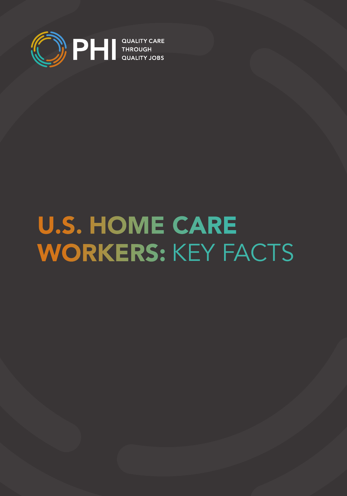

# U.S. HOME CARE WORKERS: KEY FACTS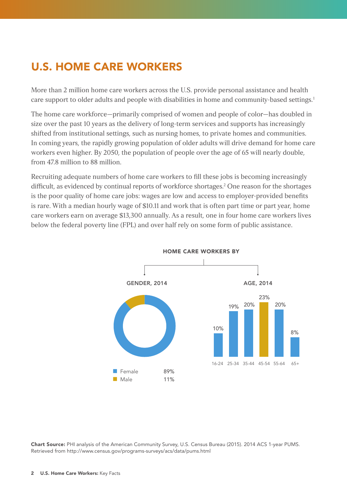# U.S. HOME CARE WORKERS

More than 2 million home care workers across the U.S. provide personal assistance and health care support to older adults and people with disabilities in home and community-based settings.<sup>1</sup>

The home care workforce—primarily comprised of women and people of color—has doubled in size over the past 10 years as the delivery of long-term services and supports has increasingly shifted from institutional settings, such as nursing homes, to private homes and communities. In coming years, the rapidly growing population of older adults will drive demand for home care workers even higher. By 2050, the population of people over the age of 65 will nearly double, from 47.8 million to 88 million.

Recruiting adequate numbers of home care workers to fill these jobs is becoming increasingly difficult, as evidenced by continual reports of workforce shortages.<sup>2</sup> One reason for the shortages is the poor quality of home care jobs: wages are low and access to employer-provided benefits is rare. With a median hourly wage of \$10.11 and work that is often part time or part year, home care workers earn on average \$13,300 annually. As a result, one in four home care workers lives below the federal poverty line (FPL) and over half rely on some form of public assistance.



Chart Source: PHI analysis of the American Community Survey, U.S. Census Bureau (2015). 2014 ACS 1-year PUMS. Retrieved from http://www.census.gov/programs-surveys/acs/data/pums.html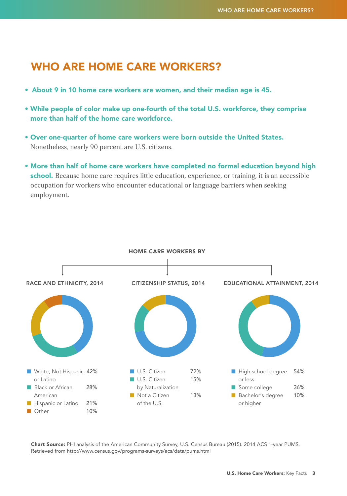### WHO ARE HOME CARE WORKERS?

- About 9 in 10 home care workers are women, and their median age is 45.
- While people of color make up one-fourth of the total U.S. workforce, they comprise more than half of the home care workforce.
- Over one-quarter of home care workers were born outside the United States. Nonetheless, nearly 90 percent are U.S. citizens.
- More than half of home care workers have completed no formal education beyond high school. Because home care requires little education, experience, or training, it is an accessible occupation for workers who encounter educational or language barriers when seeking employment.



Chart Source: PHI analysis of the American Community Survey, U.S. Census Bureau (2015). 2014 ACS 1-year PUMS. Retrieved from<http://www.census.gov/programs-surveys/acs/data/pums.html>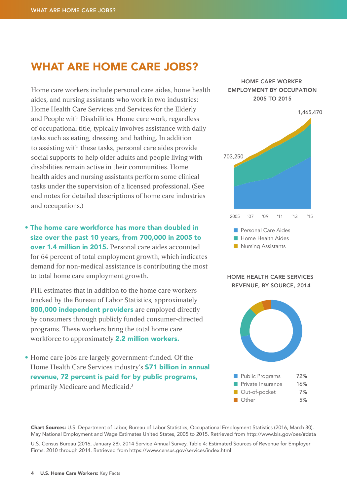### WHAT ARE HOME CARE JOBS?

Home care workers include personal care aides, home health aides, and nursing assistants who work in two industries: Home Health Care Services and Services for the Elderly and People with Disabilities. Home care work, regardless of occupational title, typically involves assistance with daily tasks such as eating, dressing, and bathing. In addition to assisting with these tasks, personal care aides provide social supports to help older adults and people living with disabilities remain active in their communities. Home health aides and nursing assistants perform some clinical tasks under the supervision of a licensed professional. (See end notes for detailed descriptions of home care industries and occupations.)

• The home care workforce has more than doubled in size over the past 10 years, from 700,000 in 2005 to over 1.4 million in 2015. Personal care aides accounted for 64 percent of total employment growth, which indicates demand for non-medical assistance is contributing the most to total home care employment growth.

PHI estimates that in addition to the home care workers tracked by the Bureau of Labor Statistics, approximately 800,000 independent providers are employed directly by consumers through publicly funded consumer-directed programs. These workers bring the total home care workforce to approximately **2.2 million workers.** 

• Home care jobs are largely government-funded. Of the Home Health Care Services industry's **\$71 billion in annual** revenue, 72 percent is paid for by public programs, primarily Medicare and Medicaid.3

#### HOME CARE WORKER EMPLOYMENT BY OCCUPATION 2005 TO 2015



#### HOME HEALTH CARE SERVICES REVENUE, BY SOURCE, 2014



Chart Sources: U.S. Department of Labor, Bureau of Labor Statistics, Occupational Employment Statistics (2016, March 30). May National Employment and Wage Estimates United States, 2005 to 2015. Retrieved from http://www.bls.gov/oes/#data

U.S. Census Bureau (2016, January 28). 2014 Service Annual Survey, Table 4: Estimated Sources of Revenue for Employer Firms: 2010 through 2014. Retrieved from <https://www.census.gov/services/index.html>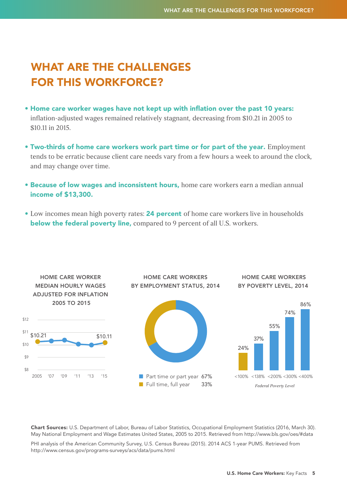## WHAT ARE THE CHALLENGES FOR THIS WORKFORCE?

- Home care worker wages have not kept up with inflation over the past 10 years: inflation-adjusted wages remained relatively stagnant, decreasing from \$10.21 in 2005 to \$10.11 in 2015.
- Two-thirds of home care workers work part time or for part of the year. Employment tends to be erratic because client care needs vary from a few hours a week to around the clock, and may change over time.
- **Because of low wages and inconsistent hours, home care workers earn a median annual** income of \$13,300.
- Low incomes mean high poverty rates: 24 percent of home care workers live in households below the federal poverty line, compared to 9 percent of all U.S. workers.



Chart Sources: U.S. Department of Labor, Bureau of Labor Statistics, Occupational Employment Statistics (2016, March 30). May National Employment and Wage Estimates United States, 2005 to 2015. Retrieved from http://www.bls.gov/oes/#data

PHI analysis of the American Community Survey, U.S. Census Bureau (2015). 2014 ACS 1-year PUMS. Retrieved from <http://www.census.gov/programs-surveys/acs/data/pums.html>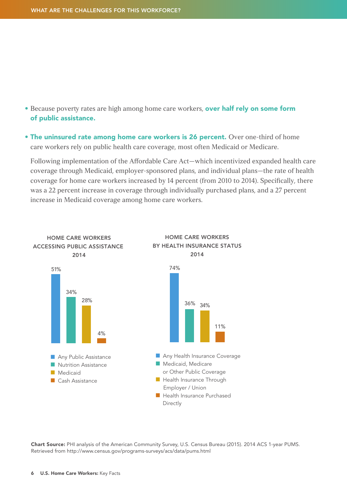- Because poverty rates are high among home care workers, **over half rely on some form** of public assistance.
- The uninsured rate among home care workers is 26 percent. Over one-third of home care workers rely on public health care coverage, most often Medicaid or Medicare.

Following implementation of the Affordable Care Act—which incentivized expanded health care coverage through Medicaid, employer-sponsored plans, and individual plans—the rate of health coverage for home care workers increased by 14 percent (from 2010 to 2014). Specifically, there was a 22 percent increase in coverage through individually purchased plans, and a 27 percent increase in Medicaid coverage among home care workers.



Chart Source: PHI analysis of the American Community Survey, U.S. Census Bureau (2015). 2014 ACS 1-year PUMS. Retrieved from<http://www.census.gov/programs-surveys/acs/data/pums.html>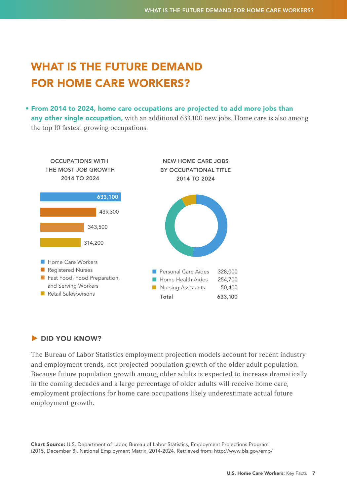# WHAT IS THE FUTURE DEMAND FOR HOME CARE WORKERS?

• From 2014 to 2024, home care occupations are projected to add more jobs than any other single occupation, with an additional 633,100 new jobs. Home care is also among the top 10 fastest-growing occupations.



### **DID YOU KNOW?**

The Bureau of Labor Statistics employment projection models account for recent industry and employment trends, not projected population growth of the older adult population. Because future population growth among older adults is expected to increase dramatically in the coming decades and a large percentage of older adults will receive home care, employment projections for home care occupations likely underestimate actual future employment growth.

Chart Source: U.S. Department of Labor, Bureau of Labor Statistics, Employment Projections Program (2015, December 8). National Employment Matrix, 2014-2024. Retrieved from:<http://www.bls.gov/emp>/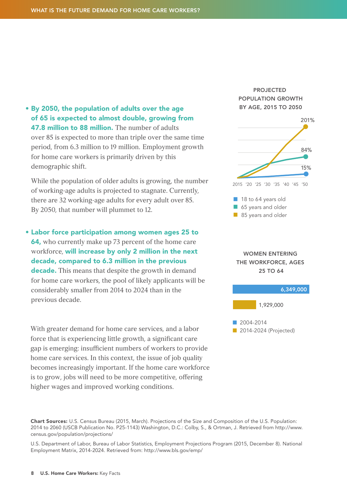• By 2050, the population of adults over the age of 65 is expected to almost double, growing from 47.8 million to 88 million. The number of adults over 85 is expected to more than triple over the same time

period, from 6.3 million to 19 million. Employment growth for home care workers is primarily driven by this demographic shift.

While the population of older adults is growing, the number of working-age adults is projected to stagnate. Currently, there are 32 working-age adults for every adult over 85. By 2050, that number will plummet to 12.

• Labor force participation among women ages 25 to 64, who currently make up 73 percent of the home care workforce, will increase by only 2 million in the next decade, compared to 6.3 million in the previous **decade.** This means that despite the growth in demand for home care workers, the pool of likely applicants will be considerably smaller from 2014 to 2024 than in the previous decade.

 With greater demand for home care services, and a labor force that is experiencing little growth, a significant care gap is emerging: insufficient numbers of workers to provide home care services. In this context, the issue of job quality becomes increasingly important. If the home care workforce is to grow, jobs will need to be more competitive, offering higher wages and improved working conditions.

PROJECTED POPULATION GROWTH BY AGE, 2015 TO 2050



WOMEN ENTERING THE WORKFORCE, AGES 25 TO 64



Chart Sources: U.S. Census Bureau (2015, March). Projections of the Size and Composition of the U.S. Population: 2014 to 2060 (USCB Publication No. P25-1143) Washington, D.C.: Colby, S., & Ortman, J. Retrieved from [http://www.](http://www.census.gov/population/projections) [census.gov/population/projections](http://www.census.gov/population/projections)/

U.S. Department of Labor, Bureau of Labor Statistics, Employment Projections Program (2015, December 8). National Employment Matrix, 2014-2024. Retrieved from: [http://www.bls.gov/emp/](http://www.bls.gov/emp)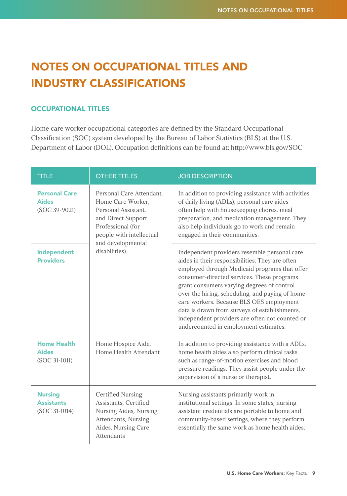# NOTES ON OCCUPATIONAL TITLES AND INDUSTRY CLASSIFICATIONS

#### OCCUPATIONAL TITLES

Home care worker occupational categories are defined by the Standard Occupational Classification (SOC) system developed by the Bureau of Labor Statistics (BLS) at the U.S. Department of Labor (DOL). Occupation definitions can be found at: http://www.bls.gov/SOC

| <b>TITLE</b>                                          | <b>OTHER TITLES</b>                                                                                                                                                               | <b>JOB DESCRIPTION</b>                                                                                                                                                                                                                                                                                                                                                                                                                                                                  |
|-------------------------------------------------------|-----------------------------------------------------------------------------------------------------------------------------------------------------------------------------------|-----------------------------------------------------------------------------------------------------------------------------------------------------------------------------------------------------------------------------------------------------------------------------------------------------------------------------------------------------------------------------------------------------------------------------------------------------------------------------------------|
| <b>Personal Care</b><br><b>Aides</b><br>(SOC 39-9021) | Personal Care Attendant.<br>Home Care Worker.<br>Personal Assistant.<br>and Direct Support<br>Professional (for<br>people with intellectual<br>and developmental<br>disabilities) | In addition to providing assistance with activities<br>of daily living (ADLs), personal care aides<br>often help with housekeeping chores, meal<br>preparation, and medication management. They<br>also help individuals go to work and remain<br>engaged in their communities.                                                                                                                                                                                                         |
| Independent<br><b>Providers</b>                       |                                                                                                                                                                                   | Independent providers resemble personal care<br>aides in their responsibilities. They are often<br>employed through Medicaid programs that offer<br>consumer-directed services. These programs<br>grant consumers varying degrees of control<br>over the hiring, scheduling, and paying of home<br>care workers. Because BLS OES employment<br>data is drawn from surveys of establishments,<br>independent providers are often not counted or<br>undercounted in employment estimates. |
| <b>Home Health</b><br><b>Aides</b><br>(SOC 31-1011)   | Home Hospice Aide,<br>Home Health Attendant                                                                                                                                       | In addition to providing assistance with a ADLs,<br>home health aides also perform clinical tasks<br>such as range-of-motion exercises and blood<br>pressure readings. They assist people under the<br>supervision of a nurse or therapist.                                                                                                                                                                                                                                             |
| <b>Nursing</b><br><b>Assistants</b><br>(SOC 31-1014)  | <b>Certified Nursing</b><br>Assistants, Certified<br>Nursing Aides, Nursing<br>Attendants, Nursing<br>Aides, Nursing Care<br>Attendants                                           | Nursing assistants primarily work in<br>institutional settings. In some states, nursing<br>assistant credentials are portable to home and<br>community-based settings, where they perform<br>essentially the same work as home health aides.                                                                                                                                                                                                                                            |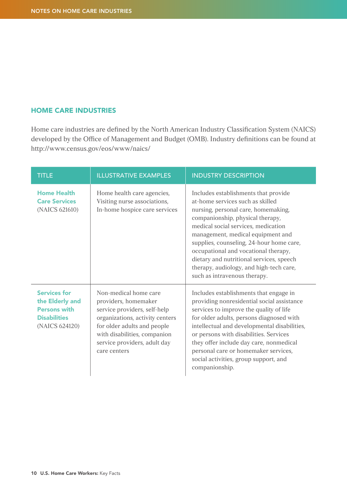#### HOME CARE INDUSTRIES

Home care industries are defined by the North American Industry Classification System (NAICS) developed by the Office of Management and Budget (OMB). Industry definitions can be found at [http://www.census.gov/eos/www/naics/](http://www.census.gov/eos/www/naics)

| <b>TITLE</b>                                                                                           | <b>ILLUSTRATIVE EXAMPLES</b>                                                                                                                                                                                                    | <b>INDUSTRY DESCRIPTION</b>                                                                                                                                                                                                                                                                                                                                                                                                                |
|--------------------------------------------------------------------------------------------------------|---------------------------------------------------------------------------------------------------------------------------------------------------------------------------------------------------------------------------------|--------------------------------------------------------------------------------------------------------------------------------------------------------------------------------------------------------------------------------------------------------------------------------------------------------------------------------------------------------------------------------------------------------------------------------------------|
| <b>Home Health</b><br><b>Care Services</b><br>(NAICS 621610)                                           | Home health care agencies,<br>Visiting nurse associations,<br>In-home hospice care services                                                                                                                                     | Includes establishments that provide<br>at-home services such as skilled<br>nursing, personal care, homemaking,<br>companionship, physical therapy,<br>medical social services, medication<br>management, medical equipment and<br>supplies, counseling, 24-hour home care,<br>occupational and vocational therapy,<br>dietary and nutritional services, speech<br>therapy, audiology, and high-tech care,<br>such as intravenous therapy. |
| <b>Services for</b><br>the Elderly and<br><b>Persons with</b><br><b>Disabilities</b><br>(NAICS 624120) | Non-medical home care<br>providers, homemaker<br>service providers, self-help<br>organizations, activity centers<br>for older adults and people<br>with disabilities, companion<br>service providers, adult day<br>care centers | Includes establishments that engage in<br>providing nonresidential social assistance<br>services to improve the quality of life<br>for older adults, persons diagnosed with<br>intellectual and developmental disabilities,<br>or persons with disabilities. Services<br>they offer include day care, nonmedical<br>personal care or homemaker services,<br>social activities, group support, and<br>companionship.                        |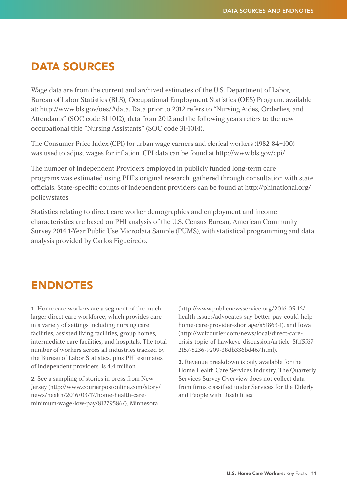### DATA SOURCES

Wage data are from the current and archived estimates of the U.S. Department of Labor, Bureau of Labor Statistics (BLS), Occupational Employment Statistics (OES) Program, available at: http://www.bls.gov/oes/#data. Data prior to 2012 refers to "Nursing Aides, Orderlies, and Attendants" (SOC code 31-1012); data from 2012 and the following years refers to the new occupational title "Nursing Assistants" (SOC code 31-1014).

The Consumer Price Index (CPI) for urban wage earners and clerical workers (1982-84=100) was used to adjust wages for inflation. CPI data can be found at [http://www.bls.gov/cpi/](http://www.bls.gov/cpi)

The number of Independent Providers employed in publicly funded long-term care programs was estimated using PHI's original research, gathered through consultation with state officials. State-specific counts of independent providers can be found at [http://phinational.org/](http://phinational.org/policy/states) [policy/states](http://phinational.org/policy/states)

Statistics relating to direct care worker demographics and employment and income characteristics are based on PHI analysis of the U.S. Census Bureau, American Community Survey 2014 1-Year Public Use Microdata Sample (PUMS), with statistical programming and data analysis provided by Carlos Figueiredo.

### ENDNOTES

1. Home care workers are a segment of the much larger direct care workforce, which provides care in a variety of settings including nursing care facilities, assisted living facilities, group homes, intermediate care facilities, and hospitals. The total number of workers across all industries tracked by the Bureau of Labor Statistics, plus PHI estimates of independent providers, is 4.4 million.

2. See a sampling of stories in press from New Jersey (http://www.courierpostonline.com/story/ news/health/2016/03/17/home-health-careminimum-wage-low-pay/81279586/), Minnesota

(http://www.publicnewsservice.org/2016-05-16/ health-issues/advocates-say-better-pay-could-helphome-care-provider-shortage/a51863-1), and Iowa (http://wcfcourier.com/news/local/direct-carecrisis-topic-of-hawkeye-discussion/article\_5f1f5f67- 2157-5236-9209-38db336bd467.html).

3. Revenue breakdown is only available for the Home Health Care Services Industry. The Quarterly Services Survey Overview does not collect data from firms classified under Services for the Elderly and People with Disabilities.